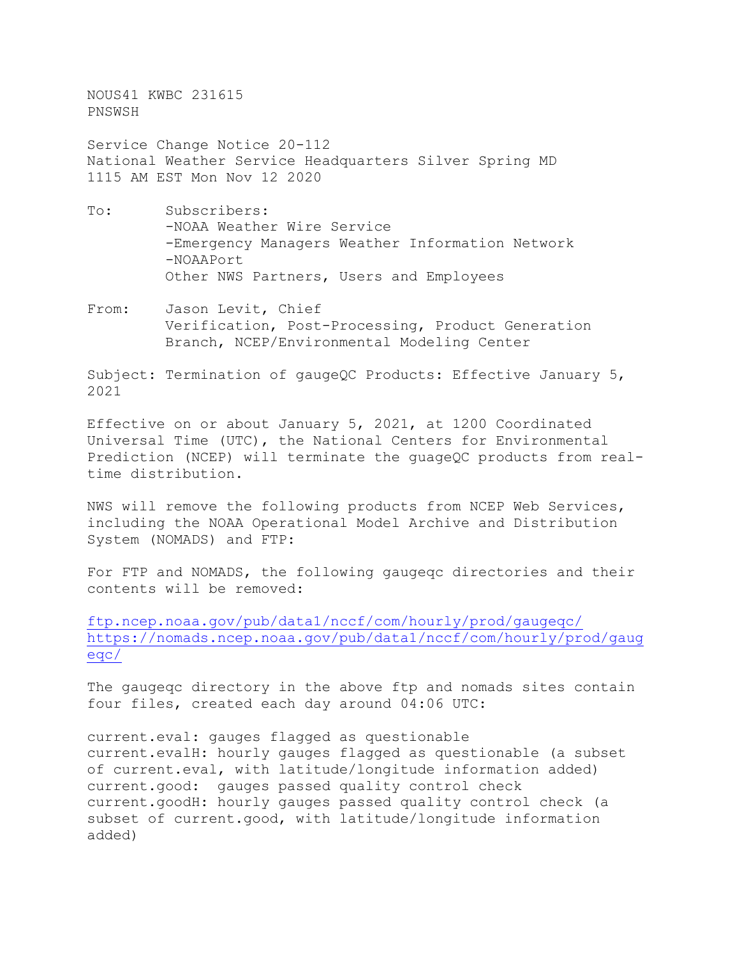NOUS41 KWBC 231615 PNSWSH

Service Change Notice 20-112 National Weather Service Headquarters Silver Spring MD 1115 AM EST Mon Nov 12 2020

- To: Subscribers: -NOAA Weather Wire Service -Emergency Managers Weather Information Network -NOAAPort Other NWS Partners, Users and Employees
- From: Jason Levit, Chief Verification, Post-Processing, Product Generation Branch, NCEP/Environmental Modeling Center

Subject: Termination of gaugeQC Products: Effective January 5, 2021

Effective on or about January 5, 2021, at 1200 Coordinated Universal Time (UTC), the National Centers for Environmental Prediction (NCEP) will terminate the guageQC products from realtime distribution.

NWS will remove the following products from NCEP Web Services, including the NOAA Operational Model Archive and Distribution System (NOMADS) and FTP:

For FTP and NOMADS, the following gaugeqc directories and their contents will be removed:

[ftp.ncep.noaa.gov/pub/data1/nccf/com/hourly/prod/gaugeqc/](http://ftp.ncep.noaa.gov/pub/data1/nccf/com/hourly/prod/gaugeqc/) [https://nomads.ncep.noaa.gov/pub/data1/nccf/com/hourly/prod/gaug](https://nomads.ncep.noaa.gov/pub/data1/nccf/com/hourly/prod/gaugeqc/) [eqc/](https://nomads.ncep.noaa.gov/pub/data1/nccf/com/hourly/prod/gaugeqc/)

The gaugeqc directory in the above ftp and nomads sites contain four files, created each day around 04:06 UTC:

current.eval: gauges flagged as questionable current.evalH: hourly gauges flagged as questionable (a subset of current.eval, with latitude/longitude information added) current.good: gauges passed quality control check current.goodH: hourly gauges passed quality control check (a subset of current.good, with latitude/longitude information added)